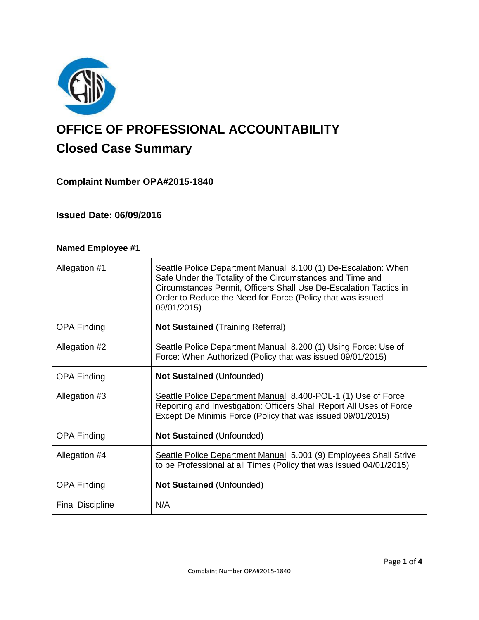

# **OFFICE OF PROFESSIONAL ACCOUNTABILITY Closed Case Summary**

# **Complaint Number OPA#2015-1840**

# **Issued Date: 06/09/2016**

| <b>Named Employee #1</b> |                                                                                                                                                                                                                                                                               |
|--------------------------|-------------------------------------------------------------------------------------------------------------------------------------------------------------------------------------------------------------------------------------------------------------------------------|
| Allegation #1            | Seattle Police Department Manual 8.100 (1) De-Escalation: When<br>Safe Under the Totality of the Circumstances and Time and<br>Circumstances Permit, Officers Shall Use De-Escalation Tactics in<br>Order to Reduce the Need for Force (Policy that was issued<br>09/01/2015) |
| <b>OPA Finding</b>       | <b>Not Sustained (Training Referral)</b>                                                                                                                                                                                                                                      |
| Allegation #2            | Seattle Police Department Manual 8.200 (1) Using Force: Use of<br>Force: When Authorized (Policy that was issued 09/01/2015)                                                                                                                                                  |
| <b>OPA Finding</b>       | <b>Not Sustained (Unfounded)</b>                                                                                                                                                                                                                                              |
| Allegation #3            | Seattle Police Department Manual 8.400-POL-1 (1) Use of Force<br>Reporting and Investigation: Officers Shall Report All Uses of Force<br>Except De Minimis Force (Policy that was issued 09/01/2015)                                                                          |
| <b>OPA Finding</b>       | <b>Not Sustained (Unfounded)</b>                                                                                                                                                                                                                                              |
| Allegation #4            | Seattle Police Department Manual 5.001 (9) Employees Shall Strive<br>to be Professional at all Times (Policy that was issued 04/01/2015)                                                                                                                                      |
| <b>OPA Finding</b>       | <b>Not Sustained (Unfounded)</b>                                                                                                                                                                                                                                              |
| <b>Final Discipline</b>  | N/A                                                                                                                                                                                                                                                                           |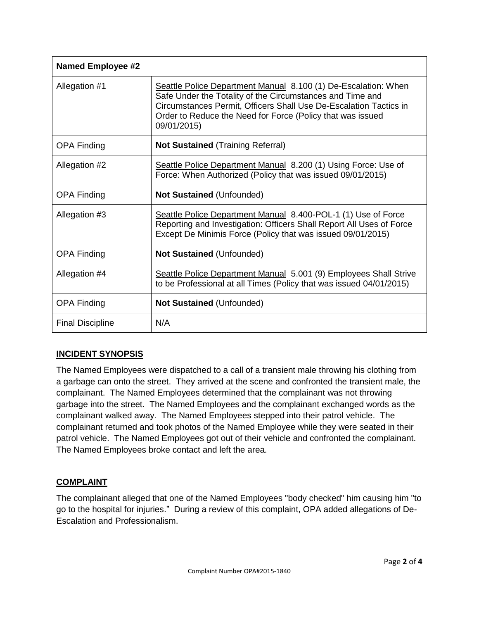| <b>Named Employee #2</b> |                                                                                                                                                                                                                                                                               |
|--------------------------|-------------------------------------------------------------------------------------------------------------------------------------------------------------------------------------------------------------------------------------------------------------------------------|
| Allegation #1            | Seattle Police Department Manual 8.100 (1) De-Escalation: When<br>Safe Under the Totality of the Circumstances and Time and<br>Circumstances Permit, Officers Shall Use De-Escalation Tactics in<br>Order to Reduce the Need for Force (Policy that was issued<br>09/01/2015) |
| <b>OPA Finding</b>       | <b>Not Sustained (Training Referral)</b>                                                                                                                                                                                                                                      |
| Allegation #2            | Seattle Police Department Manual 8.200 (1) Using Force: Use of<br>Force: When Authorized (Policy that was issued 09/01/2015)                                                                                                                                                  |
| <b>OPA Finding</b>       | <b>Not Sustained (Unfounded)</b>                                                                                                                                                                                                                                              |
| Allegation #3            | Seattle Police Department Manual 8.400-POL-1 (1) Use of Force<br>Reporting and Investigation: Officers Shall Report All Uses of Force<br>Except De Minimis Force (Policy that was issued 09/01/2015)                                                                          |
| <b>OPA Finding</b>       | <b>Not Sustained (Unfounded)</b>                                                                                                                                                                                                                                              |
| Allegation #4            | Seattle Police Department Manual 5.001 (9) Employees Shall Strive<br>to be Professional at all Times (Policy that was issued 04/01/2015)                                                                                                                                      |
| <b>OPA Finding</b>       | <b>Not Sustained (Unfounded)</b>                                                                                                                                                                                                                                              |
| <b>Final Discipline</b>  | N/A                                                                                                                                                                                                                                                                           |

# **INCIDENT SYNOPSIS**

The Named Employees were dispatched to a call of a transient male throwing his clothing from a garbage can onto the street. They arrived at the scene and confronted the transient male, the complainant. The Named Employees determined that the complainant was not throwing garbage into the street. The Named Employees and the complainant exchanged words as the complainant walked away. The Named Employees stepped into their patrol vehicle. The complainant returned and took photos of the Named Employee while they were seated in their patrol vehicle. The Named Employees got out of their vehicle and confronted the complainant. The Named Employees broke contact and left the area.

# **COMPLAINT**

The complainant alleged that one of the Named Employees "body checked" him causing him "to go to the hospital for injuries." During a review of this complaint, OPA added allegations of De-Escalation and Professionalism.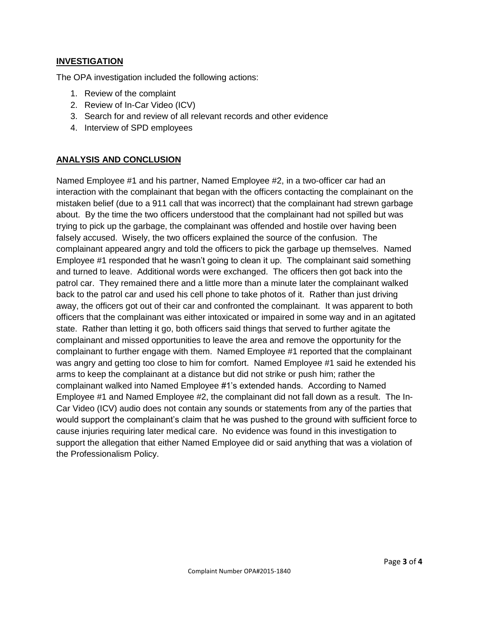## **INVESTIGATION**

The OPA investigation included the following actions:

- 1. Review of the complaint
- 2. Review of In-Car Video (ICV)
- 3. Search for and review of all relevant records and other evidence
- 4. Interview of SPD employees

## **ANALYSIS AND CONCLUSION**

Named Employee #1 and his partner, Named Employee #2, in a two-officer car had an interaction with the complainant that began with the officers contacting the complainant on the mistaken belief (due to a 911 call that was incorrect) that the complainant had strewn garbage about. By the time the two officers understood that the complainant had not spilled but was trying to pick up the garbage, the complainant was offended and hostile over having been falsely accused. Wisely, the two officers explained the source of the confusion. The complainant appeared angry and told the officers to pick the garbage up themselves. Named Employee #1 responded that he wasn't going to clean it up. The complainant said something and turned to leave. Additional words were exchanged. The officers then got back into the patrol car. They remained there and a little more than a minute later the complainant walked back to the patrol car and used his cell phone to take photos of it. Rather than just driving away, the officers got out of their car and confronted the complainant. It was apparent to both officers that the complainant was either intoxicated or impaired in some way and in an agitated state. Rather than letting it go, both officers said things that served to further agitate the complainant and missed opportunities to leave the area and remove the opportunity for the complainant to further engage with them. Named Employee #1 reported that the complainant was angry and getting too close to him for comfort. Named Employee #1 said he extended his arms to keep the complainant at a distance but did not strike or push him; rather the complainant walked into Named Employee #1's extended hands. According to Named Employee #1 and Named Employee #2, the complainant did not fall down as a result. The In-Car Video (ICV) audio does not contain any sounds or statements from any of the parties that would support the complainant's claim that he was pushed to the ground with sufficient force to cause injuries requiring later medical care. No evidence was found in this investigation to support the allegation that either Named Employee did or said anything that was a violation of the Professionalism Policy.